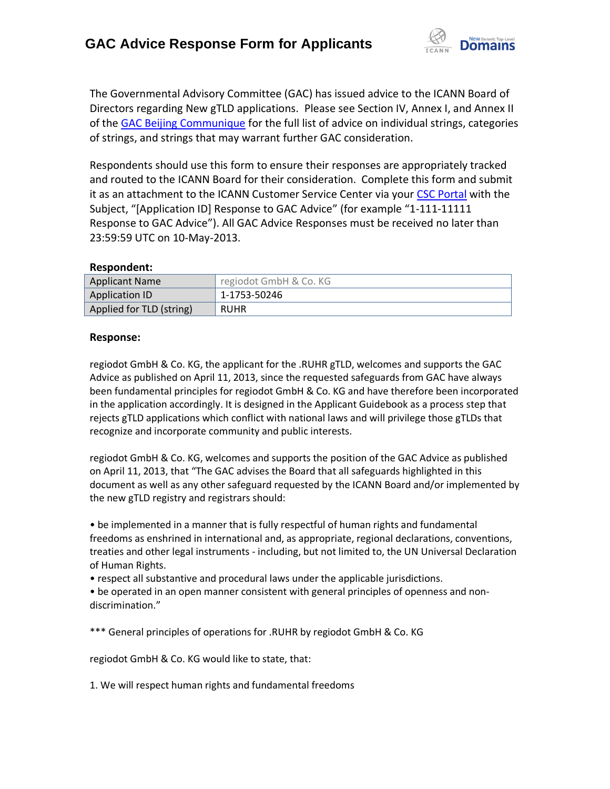

The Governmental Advisory Committee (GAC) has issued advice to the ICANN Board of Directors regarding New gTLD applications. Please see Section IV, Annex I, and Annex II of the [GAC Beijing Communique](http://www.icann.org/en/news/correspondence/gac-to-board-18apr13-en.pdf) for the full list of advice on individual strings, categories of strings, and strings that may warrant further GAC consideration.

Respondents should use this form to ensure their responses are appropriately tracked and routed to the ICANN Board for their consideration. Complete this form and submit it as an attachment to the ICANN Customer Service Center via your CSC [Portal](https://myicann.secure.force.com/) with the Subject, "[Application ID] Response to GAC Advice" (for example "1-111-11111 Response to GAC Advice"). All GAC Advice Responses must be received no later than 23:59:59 UTC on 10-May-2013.

## **Respondent:**

| <b>Applicant Name</b>    | regiodot GmbH & Co. KG |
|--------------------------|------------------------|
| <b>Application ID</b>    | 1-1753-50246           |
| Applied for TLD (string) | <b>RUHR</b>            |

## **Response:**

regiodot GmbH & Co. KG, the applicant for the .RUHR gTLD, welcomes and supports the GAC Advice as published on April 11, 2013, since the requested safeguards from GAC have always been fundamental principles for regiodot GmbH & Co. KG and have therefore been incorporated in the application accordingly. It is designed in the Applicant Guidebook as a process step that rejects gTLD applications which conflict with national laws and will privilege those gTLDs that recognize and incorporate community and public interests.

regiodot GmbH & Co. KG, welcomes and supports the position of the GAC Advice as published on April 11, 2013, that "The GAC advises the Board that all safeguards highlighted in this document as well as any other safeguard requested by the ICANN Board and/or implemented by the new gTLD registry and registrars should:

• be implemented in a manner that is fully respectful of human rights and fundamental freedoms as enshrined in international and, as appropriate, regional declarations, conventions, treaties and other legal instruments - including, but not limited to, the UN Universal Declaration of Human Rights.

• respect all substantive and procedural laws under the applicable jurisdictions.

• be operated in an open manner consistent with general principles of openness and non‐ discrimination."

\*\*\* General principles of operations for .RUHR by regiodot GmbH & Co. KG

regiodot GmbH & Co. KG would like to state, that:

1. We will respect human rights and fundamental freedoms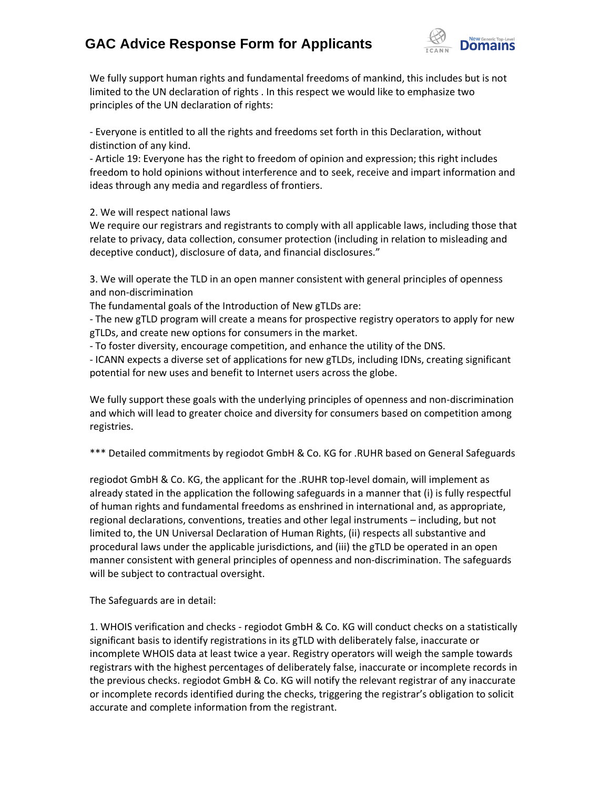## **GAC Advice Response Form for Applicants**



We fully support human rights and fundamental freedoms of mankind, this includes but is not limited to the UN declaration of rights . In this respect we would like to emphasize two principles of the UN declaration of rights:

- Everyone is entitled to all the rights and freedoms set forth in this Declaration, without distinction of any kind.

- Article 19: Everyone has the right to freedom of opinion and expression; this right includes freedom to hold opinions without interference and to seek, receive and impart information and ideas through any media and regardless of frontiers.

2. We will respect national laws

We require our registrars and registrants to comply with all applicable laws, including those that relate to privacy, data collection, consumer protection (including in relation to misleading and deceptive conduct), disclosure of data, and financial disclosures."

3. We will operate the TLD in an open manner consistent with general principles of openness and non‐discrimination

The fundamental goals of the Introduction of New gTLDs are:

- The new gTLD program will create a means for prospective registry operators to apply for new gTLDs, and create new options for consumers in the market.

- To foster diversity, encourage competition, and enhance the utility of the DNS.

- ICANN expects a diverse set of applications for new gTLDs, including IDNs, creating significant potential for new uses and benefit to Internet users across the globe.

We fully support these goals with the underlying principles of openness and non-discrimination and which will lead to greater choice and diversity for consumers based on competition among registries.

\*\*\* Detailed commitments by regiodot GmbH & Co. KG for .RUHR based on General Safeguards

regiodot GmbH & Co. KG, the applicant for the .RUHR top-level domain, will implement as already stated in the application the following safeguards in a manner that (i) is fully respectful of human rights and fundamental freedoms as enshrined in international and, as appropriate, regional declarations, conventions, treaties and other legal instruments – including, but not limited to, the UN Universal Declaration of Human Rights, (ii) respects all substantive and procedural laws under the applicable jurisdictions, and (iii) the gTLD be operated in an open manner consistent with general principles of openness and non‐discrimination. The safeguards will be subject to contractual oversight.

The Safeguards are in detail:

1. WHOIS verification and checks - regiodot GmbH & Co. KG will conduct checks on a statistically significant basis to identify registrations in its gTLD with deliberately false, inaccurate or incomplete WHOIS data at least twice a year. Registry operators will weigh the sample towards registrars with the highest percentages of deliberately false, inaccurate or incomplete records in the previous checks. regiodot GmbH & Co. KG will notify the relevant registrar of any inaccurate or incomplete records identified during the checks, triggering the registrar's obligation to solicit accurate and complete information from the registrant.